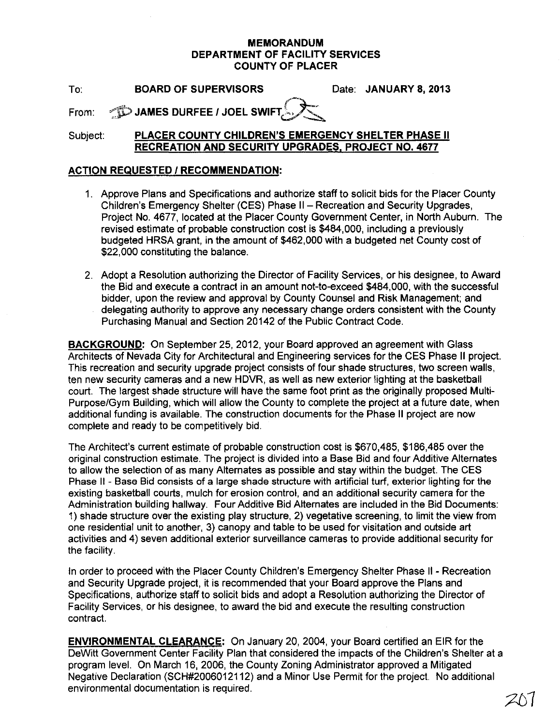## **MEMORANDUM DEPARTMENT OF FACILITY SERVICES COUNTY OF PLACER**

To: **BOARD OF SUPERVISORS** Date: **JANUARY 8,2013** 

From:  $\textcircled{1}$  JAMES DURFEE / JOEL SWIFT

Subject: **PLACER COUNTY CHILDREN'S EMERGENCY SHELTER PHASE II RECREATION AND SECURITY UPGRADES, PROJECT NO. 4677** 

## **ACTION REQUESTED I RECOMMENDATION:**

- 1. Approve Plans and Specifications and authorize staff to solicit bids for the Placer County Children's Emergency Shelter (CES) Phase II - Recreation and Security Upgrades, Project No. 4677, located at the Placer County Government Center, in North Auburn. The revised estimate of probable construction cost is \$484,000, including a previously budgeted HRSA grant, in the amount of \$462,000 with a budgeted net County cost of \$22,000 constituting the balance.
- 2. Adopt a Resolution authorizing the Director of Facility Services, or his designee, to Award the Bid and execute a contract in an amount not-to-exceed \$484,000, with the successful bidder, upon the review and approval by County Counsel and Risk Management; and delegating authority to approve any necessary change orders consistent with the County Purchasing Manual and Section 20142 of the Public Contract Code.

**BACKGROUND:** On September 25, 2012, your Board approved an agreement with Glass Architects of Nevada City for Architectural and Engineering services for the CES Phase II project. This recreation and security upgrade project consists of four shade structures, two screen walls, ten new security cameras and a new HDVR, as well as new exterior lighting at the basketball court. The largest shade structure will have the same foot print as the originally proposed Multi-Purpose/Gym Building, which will allow the County to complete the project at a future date, when additional funding is available. The construction documents for the Phase II project are now complete and ready to be competitively bid.

The Architect's current estimate of probable construction cost is \$670,485, \$186,485 over the original construction estimate. The project is divided into a Base Bid and four Additive Alternates to allow the selection of as many Alternates as possible and stay within the budget. The CES Phase II - Base Bid consists of a large shade structure with artificial turf, exterior lighting for the existing basketball courts, mulch for erosion control, and an additional security camera for the Administration building hallway. Four Additive Bid Alternates are included in the Bid Documents: 1) shade structure over the existing play structure, 2) vegetative screening, to limit the view from one residential unit to another, 3) canopy and table to be used for visitation and outside art activities and 4) seven additional exterior surveillance cameras to provide additional security for the facility.

In order to proceed with the Placer County Children's Emergency Shelter Phase II - Recreation and Security Upgrade project, it is recommended that your Board approve the Plans and Specifications, authorize staff to solicit bids and adopt a Resolution authorizing the Director of Facility Services, or his designee, to award the bid and execute the resulting construction contract.

**ENVIRONMENTAL CLEARANCE:** On January 20,2004, your Board certified an EIR for the DeWitt Government Center Facility Plan that considered the impacts of the Children's Shelter at a program level. On March 16, 2006, the County Zoning Administrator approved a Mitigated Negative Declaration (SCH#2006012112) and a Minor Use Permit for the project. No additional environmental documentation is required.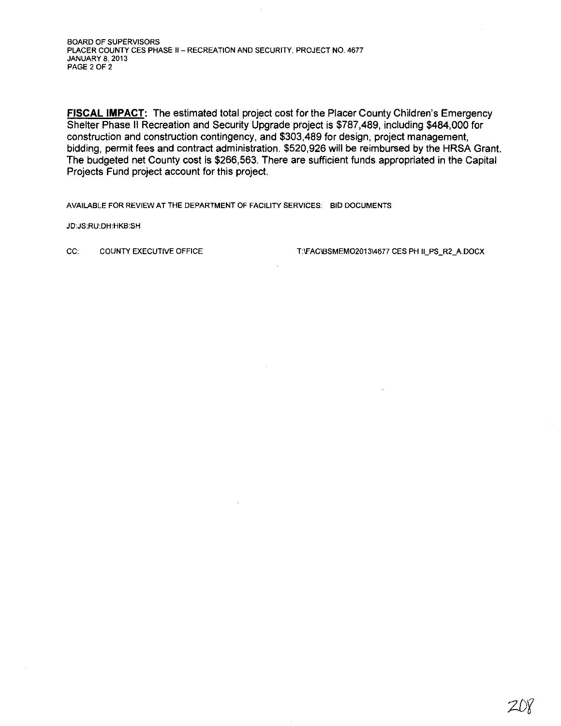**FISCAL IMPACT:** The estimated total project cost for the Placer County Children's Emergency Shelter Phase **II** Recreation and Security Upgrade project is \$787,489, including \$484,000 for construction and construction contingency, and \$303,489 for design, project management, bidding, permit fees and contract administration, \$520,926 will be reimbursed by the HRSA Grant. The budgeted net County cost is \$266,563. There are sufficient funds appropriated in the Capital Projects Fund project account for this project.

AVAILABLE FOR REVIEW AT THE DEPARTMENT OF FACILITY SERVICES: BID DOCUMENTS

JD:JS:RU:DH:HKB:SH

CC: COUNTY EXECUTIVE OFFICE T:VFAC\BSMEMO2013\4677 CES PH II\_PS\_R2\_A.DOCX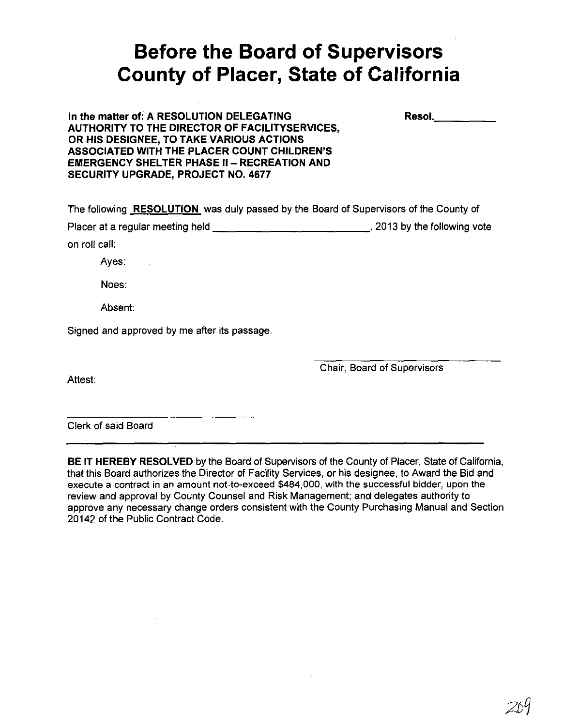## **Before the Board of Supervisors County of Placer, State of California**

| In the matter of: A RESOLUTION DELEGATING             |
|-------------------------------------------------------|
| <b>AUTHORITY TO THE DIRECTOR OF FACILITYSERVICES,</b> |
| OR HIS DESIGNEE, TO TAKE VARIOUS ACTIONS              |
| <b>ASSOCIATED WITH THE PLACER COUNT CHILDREN'S</b>    |
| EMERGENCY SHELTER PHASE II – RECREATION AND           |
| <b>SECURITY UPGRADE, PROJECT NO. 4677</b>             |

| The following <b>RESOLUTION</b> was duly passed by the Board of Supervisors of the County of |                              |
|----------------------------------------------------------------------------------------------|------------------------------|
| Placer at a regular meeting held                                                             | , 2013 by the following vote |
| on roll call: l                                                                              |                              |

Ayes:

Noes:

Absent:

Signed and approved by me after its passage.

Attest:

Chair, Board of Supervisors

Resol. \_\_\_\_ \_

Clerk of said Board

BE IT HEREBY RESOLVED by the Board of Supervisors of the County of Placer, State of California, that this Board authorizes the Director of Facility Services, or his designee, to Award the Bid and execute a contract in an amount not-to-exceed \$484,000, with the successful bidder, upon the review and approval by County Counsel and Risk Management; and delegates authority to approve any necessary change orders consistent with the County Purchasing Manual and Section 20142 of the Public Contract Code.